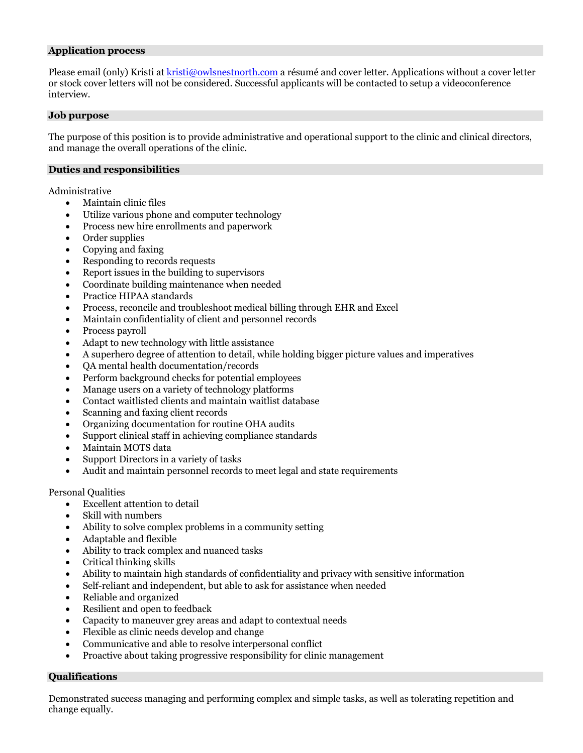#### **Application process**

Please email (only) Kristi at kristi@owlsnestnorth.com a résumé and cover letter. Applications without a cover letter or stock cover letters will not be considered. Successful applicants will be contacted to setup a videoconference interview.

#### **Job purpose**

The purpose of this position is to provide administrative and operational support to the clinic and clinical directors, and manage the overall operations of the clinic.

#### **Duties and responsibilities**

Administrative

- Maintain clinic files
- Utilize various phone and computer technology
- Process new hire enrollments and paperwork
- Order supplies
- Copying and faxing
- Responding to records requests
- Report issues in the building to supervisors
- Coordinate building maintenance when needed
- Practice HIPAA standards
- Process, reconcile and troubleshoot medical billing through EHR and Excel
- Maintain confidentiality of client and personnel records
- Process payroll
- Adapt to new technology with little assistance
- A superhero degree of attention to detail, while holding bigger picture values and imperatives
- QA mental health documentation/records
- Perform background checks for potential employees
- Manage users on a variety of technology platforms
- Contact waitlisted clients and maintain waitlist database
- Scanning and faxing client records
- Organizing documentation for routine OHA audits
- Support clinical staff in achieving compliance standards
- Maintain MOTS data
- Support Directors in a variety of tasks
- Audit and maintain personnel records to meet legal and state requirements

Personal Qualities

- Excellent attention to detail
- Skill with numbers
- Ability to solve complex problems in a community setting
- Adaptable and flexible
- Ability to track complex and nuanced tasks
- Critical thinking skills
- Ability to maintain high standards of confidentiality and privacy with sensitive information
- Self-reliant and independent, but able to ask for assistance when needed
- Reliable and organized
- Resilient and open to feedback
- Capacity to maneuver grey areas and adapt to contextual needs
- Flexible as clinic needs develop and change
- Communicative and able to resolve interpersonal conflict
- Proactive about taking progressive responsibility for clinic management

# **Qualifications**

Demonstrated success managing and performing complex and simple tasks, as well as tolerating repetition and change equally.